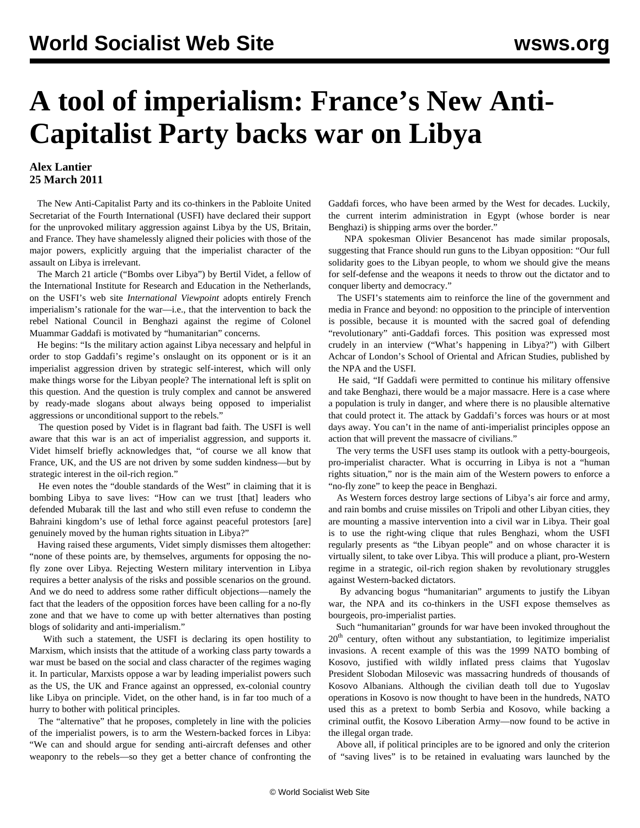## **A tool of imperialism: France's New Anti-Capitalist Party backs war on Libya**

## **Alex Lantier 25 March 2011**

 The New Anti-Capitalist Party and its co-thinkers in the Pabloite United Secretariat of the Fourth International (USFI) have declared their support for the unprovoked military aggression against Libya by the US, Britain, and France. They have shamelessly aligned their policies with those of the major powers, explicitly arguing that the imperialist character of the assault on Libya is irrelevant.

 The March 21 article ("Bombs over Libya") by Bertil Videt, a fellow of the International Institute for Research and Education in the Netherlands, on the USFI's web site *International Viewpoint* adopts entirely French imperialism's rationale for the war—i.e., that the intervention to back the rebel National Council in Benghazi against the regime of Colonel Muammar Gaddafi is motivated by "humanitarian" concerns.

 He begins: "Is the military action against Libya necessary and helpful in order to stop Gaddafi's regime's onslaught on its opponent or is it an imperialist aggression driven by strategic self-interest, which will only make things worse for the Libyan people? The international left is split on this question. And the question is truly complex and cannot be answered by ready-made slogans about always being opposed to imperialist aggressions or unconditional support to the rebels."

 The question posed by Videt is in flagrant bad faith. The USFI is well aware that this war is an act of imperialist aggression, and supports it. Videt himself briefly acknowledges that, "of course we all know that France, UK, and the US are not driven by some sudden kindness—but by strategic interest in the oil-rich region."

 He even notes the "double standards of the West" in claiming that it is bombing Libya to save lives: "How can we trust [that] leaders who defended Mubarak till the last and who still even refuse to condemn the Bahraini kingdom's use of lethal force against peaceful protestors [are] genuinely moved by the human rights situation in Libya?"

 Having raised these arguments, Videt simply dismisses them altogether: "none of these points are, by themselves, arguments for opposing the nofly zone over Libya. Rejecting Western military intervention in Libya requires a better analysis of the risks and possible scenarios on the ground. And we do need to address some rather difficult objections—namely the fact that the leaders of the opposition forces have been calling for a no-fly zone and that we have to come up with better alternatives than posting blogs of solidarity and anti-imperialism."

 With such a statement, the USFI is declaring its open hostility to Marxism, which insists that the attitude of a working class party towards a war must be based on the social and class character of the regimes waging it. In particular, Marxists oppose a war by leading imperialist powers such as the US, the UK and France against an oppressed, ex-colonial country like Libya on principle. Videt, on the other hand, is in far too much of a hurry to bother with political principles.

 The "alternative" that he proposes, completely in line with the policies of the imperialist powers, is to arm the Western-backed forces in Libya: "We can and should argue for sending anti-aircraft defenses and other weaponry to the rebels—so they get a better chance of confronting the Gaddafi forces, who have been armed by the West for decades. Luckily, the current interim administration in Egypt (whose border is near Benghazi) is shipping arms over the border."

 NPA spokesman Olivier Besancenot has made similar proposals, suggesting that France should run guns to the Libyan opposition: "Our full solidarity goes to the Libyan people, to whom we should give the means for self-defense and the weapons it needs to throw out the dictator and to conquer liberty and democracy."

 The USFI's statements aim to reinforce the line of the government and media in France and beyond: no opposition to the principle of intervention is possible, because it is mounted with the sacred goal of defending "revolutionary" anti-Gaddafi forces. This position was expressed most crudely in an interview ("What's happening in Libya?") with Gilbert Achcar of London's School of Oriental and African Studies, published by the NPA and the USFI.

 He said, "If Gaddafi were permitted to continue his military offensive and take Benghazi, there would be a major massacre. Here is a case where a population is truly in danger, and where there is no plausible alternative that could protect it. The attack by Gaddafi's forces was hours or at most days away. You can't in the name of anti-imperialist principles oppose an action that will prevent the massacre of civilians."

 The very terms the USFI uses stamp its outlook with a petty-bourgeois, pro-imperialist character. What is occurring in Libya is not a "human rights situation," nor is the main aim of the Western powers to enforce a "no-fly zone" to keep the peace in Benghazi.

 As Western forces destroy large sections of Libya's air force and army, and rain bombs and cruise missiles on Tripoli and other Libyan cities, they are mounting a massive intervention into a civil war in Libya. Their goal is to use the right-wing clique that rules Benghazi, whom the USFI regularly presents as "the Libyan people" and on whose character it is virtually silent, to take over Libya. This will produce a pliant, pro-Western regime in a strategic, oil-rich region shaken by revolutionary struggles against Western-backed dictators.

 By advancing bogus "humanitarian" arguments to justify the Libyan war, the NPA and its co-thinkers in the USFI expose themselves as bourgeois, pro-imperialist parties.

 Such "humanitarian" grounds for war have been invoked throughout the  $20<sup>th</sup>$  century, often without any substantiation, to legitimize imperialist invasions. A recent example of this was the 1999 NATO bombing of Kosovo, justified with wildly inflated press claims that Yugoslav President Slobodan Milosevic was massacring hundreds of thousands of Kosovo Albanians. Although the civilian death toll due to Yugoslav operations in Kosovo is now thought to have been in the hundreds, NATO used this as a pretext to bomb Serbia and Kosovo, while backing a criminal outfit, the Kosovo Liberation Army—now found to be active in the illegal organ trade.

 Above all, if political principles are to be ignored and only the criterion of "saving lives" is to be retained in evaluating wars launched by the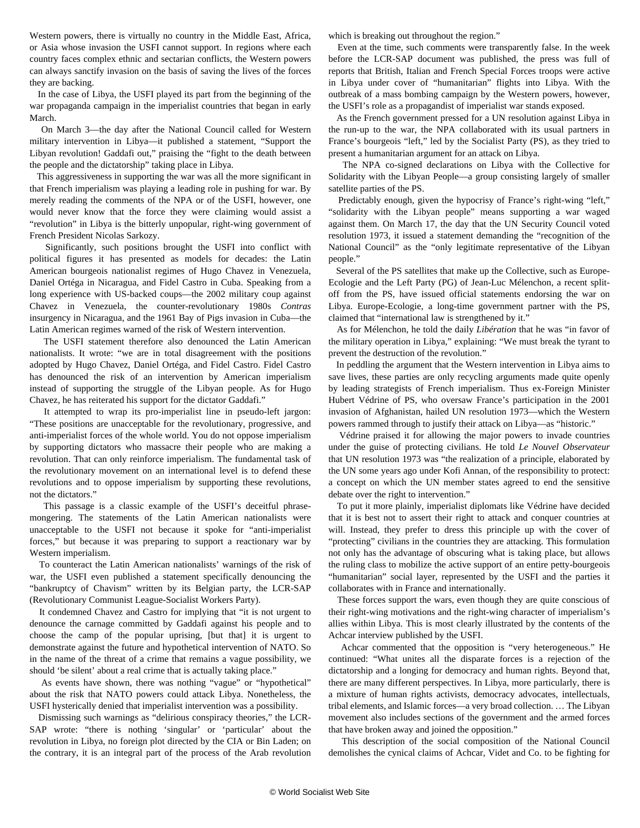Western powers, there is virtually no country in the Middle East, Africa, or Asia whose invasion the USFI cannot support. In regions where each country faces complex ethnic and sectarian conflicts, the Western powers can always sanctify invasion on the basis of saving the lives of the forces they are backing.

 In the case of Libya, the USFI played its part from the beginning of the war propaganda campaign in the imperialist countries that began in early March.

 On March 3—the day after the National Council called for Western military intervention in Libya—it published a statement, "Support the Libyan revolution! Gaddafi out," praising the "fight to the death between the people and the dictatorship" taking place in Libya.

 This aggressiveness in supporting the war was all the more significant in that French imperialism was playing a leading role in pushing for war. By merely reading the comments of the NPA or of the USFI, however, one would never know that the force they were claiming would assist a "revolution" in Libya is the bitterly unpopular, right-wing government of French President Nicolas Sarkozy.

 Significantly, such positions brought the USFI into conflict with political figures it has presented as models for decades: the Latin American bourgeois nationalist regimes of Hugo Chavez in Venezuela, Daniel Ortéga in Nicaragua, and Fidel Castro in Cuba. Speaking from a long experience with US-backed coups—the 2002 military coup against Chavez in Venezuela, the counter-revolutionary 1980s *Contras* insurgency in Nicaragua, and the 1961 Bay of Pigs invasion in Cuba—the Latin American regimes warned of the risk of Western intervention.

 The USFI statement therefore also denounced the Latin American nationalists. It wrote: "we are in total disagreement with the positions adopted by Hugo Chavez, Daniel Ortéga, and Fidel Castro. Fidel Castro has denounced the risk of an intervention by American imperialism instead of supporting the struggle of the Libyan people. As for Hugo Chavez, he has reiterated his support for the dictator Gaddafi."

 It attempted to wrap its pro-imperialist line in pseudo-left jargon: "These positions are unacceptable for the revolutionary, progressive, and anti-imperialist forces of the whole world. You do not oppose imperialism by supporting dictators who massacre their people who are making a revolution. That can only reinforce imperialism. The fundamental task of the revolutionary movement on an international level is to defend these revolutions and to oppose imperialism by supporting these revolutions, not the dictators."

 This passage is a classic example of the USFI's deceitful phrasemongering. The statements of the Latin American nationalists were unacceptable to the USFI not because it spoke for "anti-imperialist forces," but because it was preparing to support a reactionary war by Western imperialism.

 To counteract the Latin American nationalists' warnings of the risk of war, the USFI even published a statement specifically denouncing the "bankruptcy of Chavism" written by its Belgian party, the LCR-SAP (Revolutionary Communist League-Socialist Workers Party).

 It condemned Chavez and Castro for implying that "it is not urgent to denounce the carnage committed by Gaddafi against his people and to choose the camp of the popular uprising, [but that] it is urgent to demonstrate against the future and hypothetical intervention of NATO. So in the name of the threat of a crime that remains a vague possibility, we should 'be silent' about a real crime that is actually taking place."

 As events have shown, there was nothing "vague" or "hypothetical" about the risk that NATO powers could attack Libya. Nonetheless, the USFI hysterically denied that imperialist intervention was a possibility.

 Dismissing such warnings as "delirious conspiracy theories," the LCR-SAP wrote: "there is nothing 'singular' or 'particular' about the revolution in Libya, no foreign plot directed by the CIA or Bin Laden; on the contrary, it is an integral part of the process of the Arab revolution which is breaking out throughout the region."

 Even at the time, such comments were transparently false. In the week before the LCR-SAP document was published, the press was full of reports that British, Italian and French Special Forces troops were active in Libya under cover of "humanitarian" flights into Libya. With the outbreak of a mass bombing campaign by the Western powers, however, the USFI's role as a propagandist of imperialist war stands exposed.

 As the French government pressed for a UN resolution against Libya in the run-up to the war, the NPA collaborated with its usual partners in France's bourgeois "left," led by the Socialist Party (PS), as they tried to present a humanitarian argument for an attack on Libya.

 The NPA co-signed declarations on Libya with the Collective for Solidarity with the Libyan People—a group consisting largely of smaller satellite parties of the PS.

 Predictably enough, given the hypocrisy of France's right-wing "left," "solidarity with the Libyan people" means supporting a war waged against them. On March 17, the day that the UN Security Council voted resolution 1973, it issued a statement demanding the "recognition of the National Council" as the "only legitimate representative of the Libyan people."

 Several of the PS satellites that make up the Collective, such as Europe-Ecologie and the Left Party (PG) of Jean-Luc Mélenchon, a recent splitoff from the PS, have issued official statements endorsing the war on Libya. Europe-Ecologie, a long-time government partner with the PS, claimed that "international law is strengthened by it."

 As for Mélenchon, he told the daily *Libération* that he was "in favor of the military operation in Libya," explaining: "We must break the tyrant to prevent the destruction of the revolution."

 In peddling the argument that the Western intervention in Libya aims to save lives, these parties are only recycling arguments made quite openly by leading strategists of French imperialism. Thus ex-Foreign Minister Hubert Védrine of PS, who oversaw France's participation in the 2001 invasion of Afghanistan, hailed UN resolution 1973—which the Western powers rammed through to justify their attack on Libya—as "historic."

 Védrine praised it for allowing the major powers to invade countries under the guise of protecting civilians. He told *Le Nouvel Observateur* that UN resolution 1973 was "the realization of a principle, elaborated by the UN some years ago under Kofi Annan, of the responsibility to protect: a concept on which the UN member states agreed to end the sensitive debate over the right to intervention."

 To put it more plainly, imperialist diplomats like Védrine have decided that it is best not to assert their right to attack and conquer countries at will. Instead, they prefer to dress this principle up with the cover of "protecting" civilians in the countries they are attacking. This formulation not only has the advantage of obscuring what is taking place, but allows the ruling class to mobilize the active support of an entire petty-bourgeois "humanitarian" social layer, represented by the USFI and the parties it collaborates with in France and internationally.

 These forces support the wars, even though they are quite conscious of their right-wing motivations and the right-wing character of imperialism's allies within Libya. This is most clearly illustrated by the contents of the Achcar interview published by the USFI.

 Achcar commented that the opposition is "very heterogeneous." He continued: "What unites all the disparate forces is a rejection of the dictatorship and a longing for democracy and human rights. Beyond that, there are many different perspectives. In Libya, more particularly, there is a mixture of human rights activists, democracy advocates, intellectuals, tribal elements, and Islamic forces—a very broad collection. … The Libyan movement also includes sections of the government and the armed forces that have broken away and joined the opposition."

 This description of the social composition of the National Council demolishes the cynical claims of Achcar, Videt and Co. to be fighting for